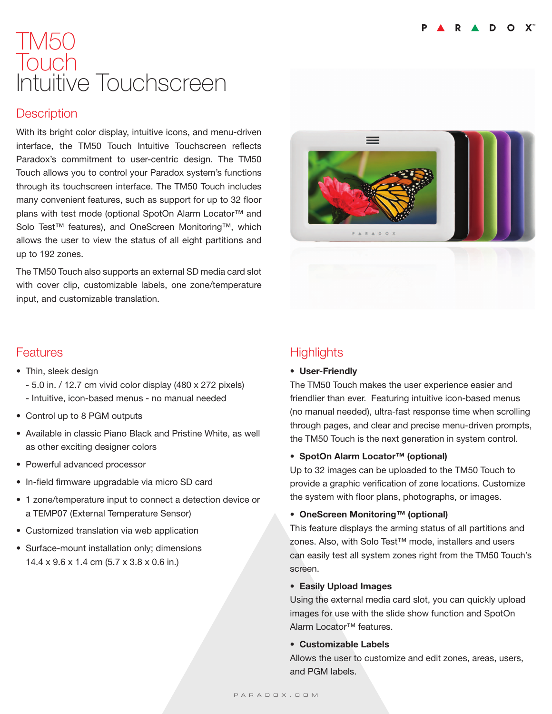# TM50 Touch Intuitive Touchscreen

### **Description**

With its bright color display, intuitive icons, and menu-driven interface, the TM50 Touch Intuitive Touchscreen reflects Paradox's commitment to user-centric design. The TM50 Touch allows you to control your Paradox system's functions through its touchscreen interface. The TM50 Touch includes many convenient features, such as support for up to 32 floor plans with test mode (optional SpotOn Alarm Locator<sup>™</sup> and Solo Test™ features), and OneScreen Monitoring™, which allows the user to view the status of all eight partitions and up to 192 zones.

The TM50 Touch also supports an external SD media card slot with cover clip, customizable labels, one zone/temperature input, and customizable translation.

### Features

- Thin, sleek design
	- 5.0 in. / 12.7 cm vivid color display (480 x 272 pixels)
	- Intuitive, icon-based menus no manual needed
- Control up to 8 PGM outputs
- Available in classic Piano Black and Pristine White, as well as other exciting designer colors
- Powerful advanced processor
- In-field firmware upgradable via micro SD card
- 1 zone/temperature input to connect a detection device or a TEMP07 (External Temperature Sensor)
- Customized translation via web application
- Surface-mount installation only; dimensions 14.4 x 9.6 x 1.4 cm (5.7 x 3.8 x 0.6 in.)

# **Highlights**

#### • User-Friendly

The TM50 Touch makes the user experience easier and friendlier than ever. Featuring intuitive icon-based menus (no manual needed), ultra-fast response time when scrolling through pages, and clear and precise menu-driven prompts, the TM50 Touch is the next generation in system control.

#### • SpotOn Alarm Locator™ (optional)

Up to 32 images can be uploaded to the TM50 Touch to provide a graphic verification of zone locations. Customize the system with floor plans, photographs, or images.

#### • OneScreen Monitoring™ (optional)

This feature displays the arming status of all partitions and zones. Also, with Solo Test™ mode, installers and users can easily test all system zones right from the TM50 Touch's screen.

#### • Easily Upload Images

Using the external media card slot, you can quickly upload images for use with the slide show function and SpotOn Alarm Locator™ features.

#### • Customizable Labels

Allows the user to customize and edit zones, areas, users, and PGM labels.